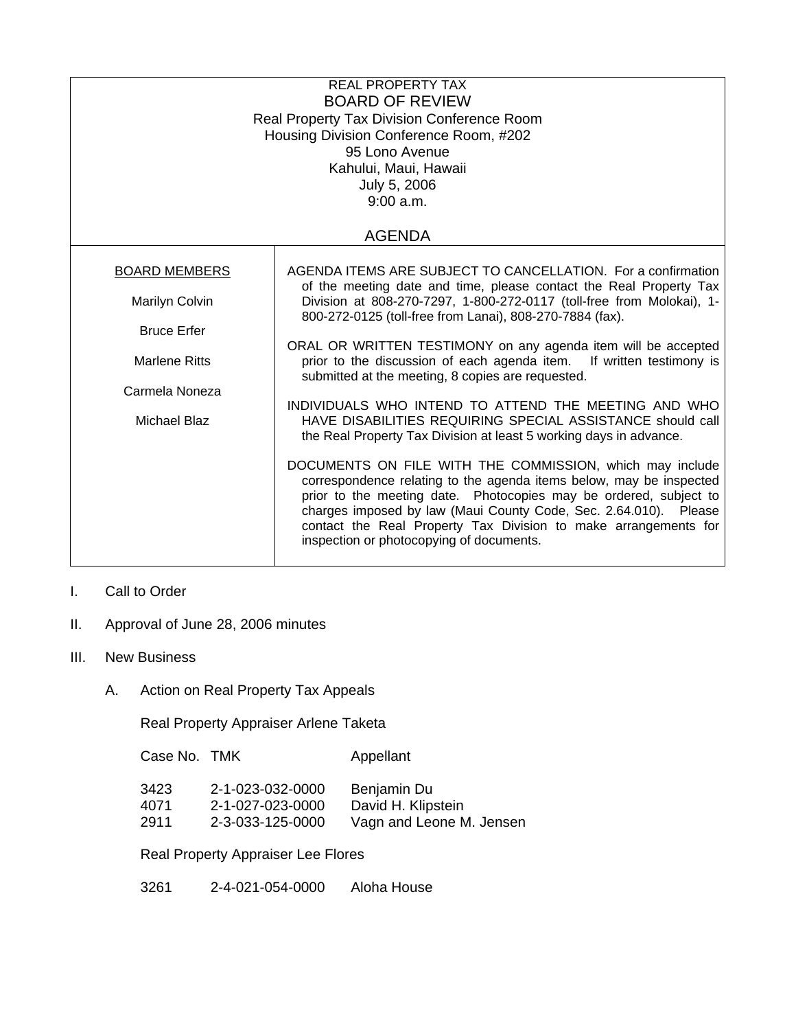| <b>REAL PROPERTY TAX</b><br><b>BOARD OF REVIEW</b><br><b>Real Property Tax Division Conference Room</b><br>Housing Division Conference Room, #202<br>95 Lono Avenue<br>Kahului, Maui, Hawaii<br>July 5, 2006<br>9:00 a.m. |                                                                                                                                                                                                                                                                                                                                                                                         |  |  |  |
|---------------------------------------------------------------------------------------------------------------------------------------------------------------------------------------------------------------------------|-----------------------------------------------------------------------------------------------------------------------------------------------------------------------------------------------------------------------------------------------------------------------------------------------------------------------------------------------------------------------------------------|--|--|--|
| <b>AGENDA</b>                                                                                                                                                                                                             |                                                                                                                                                                                                                                                                                                                                                                                         |  |  |  |
| <b>BOARD MEMBERS</b><br>Marilyn Colvin<br><b>Bruce Erfer</b>                                                                                                                                                              | AGENDA ITEMS ARE SUBJECT TO CANCELLATION. For a confirmation<br>of the meeting date and time, please contact the Real Property Tax<br>Division at 808-270-7297, 1-800-272-0117 (toll-free from Molokai), 1-<br>800-272-0125 (toll-free from Lanai), 808-270-7884 (fax).                                                                                                                 |  |  |  |
| <b>Marlene Ritts</b>                                                                                                                                                                                                      | ORAL OR WRITTEN TESTIMONY on any agenda item will be accepted<br>prior to the discussion of each agenda item. If written testimony is<br>submitted at the meeting, 8 copies are requested.                                                                                                                                                                                              |  |  |  |
| Carmela Noneza<br>Michael Blaz                                                                                                                                                                                            | INDIVIDUALS WHO INTEND TO ATTEND THE MEETING AND WHO<br>HAVE DISABILITIES REQUIRING SPECIAL ASSISTANCE should call<br>the Real Property Tax Division at least 5 working days in advance.                                                                                                                                                                                                |  |  |  |
|                                                                                                                                                                                                                           | DOCUMENTS ON FILE WITH THE COMMISSION, which may include<br>correspondence relating to the agenda items below, may be inspected<br>prior to the meeting date. Photocopies may be ordered, subject to<br>charges imposed by law (Maui County Code, Sec. 2.64.010). Please<br>contact the Real Property Tax Division to make arrangements for<br>inspection or photocopying of documents. |  |  |  |

## I. Call to Order

- II. Approval of June 28, 2006 minutes
- III. New Business
	- A. Action on Real Property Tax Appeals

Real Property Appraiser Arlene Taketa

Case No. TMK Appellant

| 3423 | 2-1-023-032-0000 | Benjamin Du              |
|------|------------------|--------------------------|
| 4071 | 2-1-027-023-0000 | David H. Klipstein       |
| 2911 | 2-3-033-125-0000 | Vagn and Leone M. Jensen |

Real Property Appraiser Lee Flores

3261 2-4-021-054-0000 Aloha House